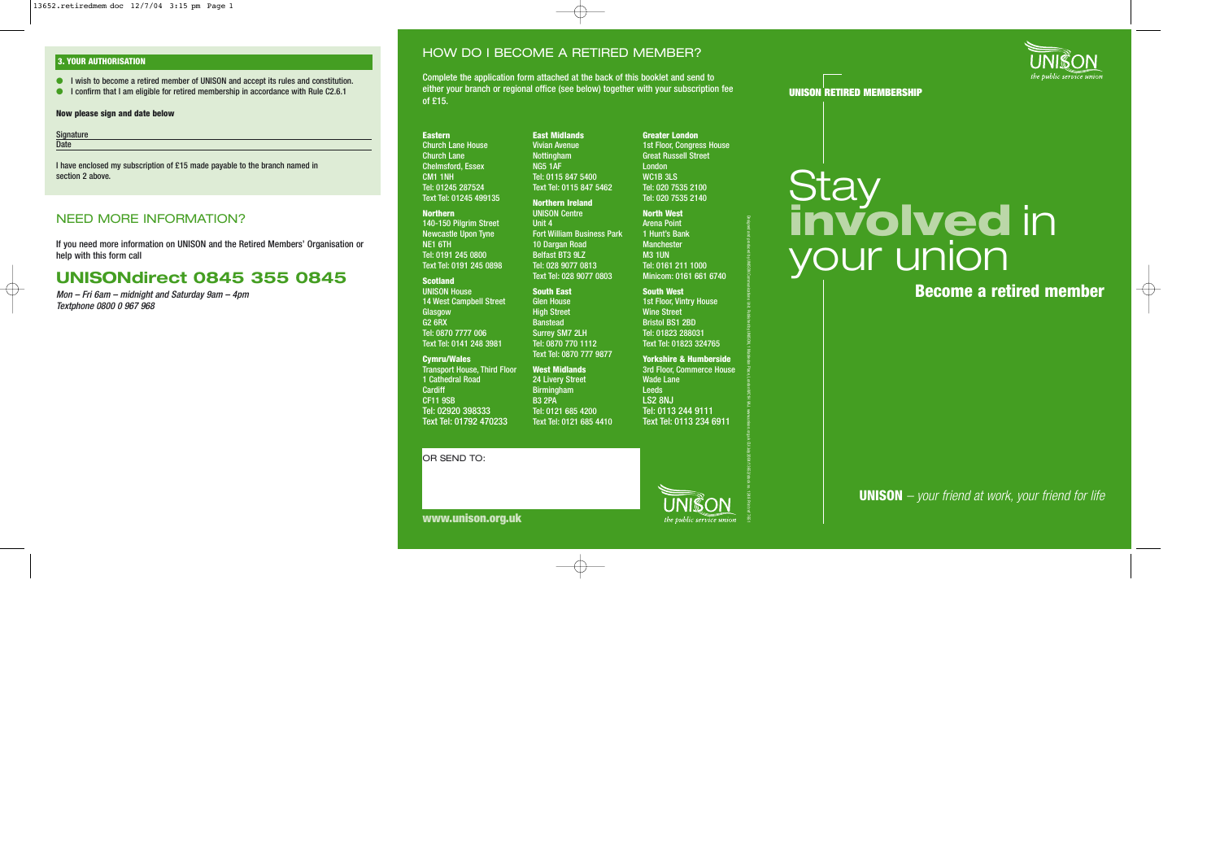### **3. YOUR AUTHORISATION**

- I wish to become a retired member of UNISON and accept its rules and constitution.
- I confirm that I am eligible for retired membership in accordance with Rule C2.6.1

### **Now please sign and date below**

| Signature   |  |
|-------------|--|
| <b>Date</b> |  |

### NEED MORE INFORMATION?

# **UNISONdirect 0845 355 0845**

### HOW DO I BECOME A RETIRED MEMBER?

Complete the application form attached at the back of this booklet and send to either your branch or regional office (see below) together with your subscription fee of £15.

the public service union

www.unison.org.uk CU/July2004/13652/stock no.

1248 Print ref 7651

| <b>Signature</b><br>Date<br>I have enclosed my subscription of £15 made payable to the branch named in<br>section 2 above.                                                                                                                                       | <b>Eastern</b><br><b>Church Lane House</b><br><b>Church Lane</b><br><b>Chelmsford, Essex</b><br><b>CM1 1NH</b><br>Tel: 01245 287524<br>Text Tel: 01245 499135                                                                                                                                                                                                                                                                                                             | <b>East Midlands</b><br><b>Vivian Avenue</b><br><b>Nottingham</b><br><b>NG5 1AF</b><br>Tel: 0115 847 5400<br>Text Tel: 0115 847 5462                                                                                                                                                                                                                                                                                                                                          | <b>Greater London</b><br><b>1st Floor, Congress House</b><br><b>Great Russell Street</b><br>London<br>WC1B 3LS<br>Tel: 020 7535 2100<br>Tel: 020 7535 2140                                                                                                                                                                                                                                                                                                      | Stay                                                          |
|------------------------------------------------------------------------------------------------------------------------------------------------------------------------------------------------------------------------------------------------------------------|---------------------------------------------------------------------------------------------------------------------------------------------------------------------------------------------------------------------------------------------------------------------------------------------------------------------------------------------------------------------------------------------------------------------------------------------------------------------------|-------------------------------------------------------------------------------------------------------------------------------------------------------------------------------------------------------------------------------------------------------------------------------------------------------------------------------------------------------------------------------------------------------------------------------------------------------------------------------|-----------------------------------------------------------------------------------------------------------------------------------------------------------------------------------------------------------------------------------------------------------------------------------------------------------------------------------------------------------------------------------------------------------------------------------------------------------------|---------------------------------------------------------------|
| <b>NEED MORE INFORMATION?</b><br>If you need more information on UNISON and the Retired Members' Organisation or<br>help with this form call<br><b>UNISONdirect 0845 355 0845</b><br>Mon – Fri 6am – midnight and Saturday 9am – 4pm<br>Textphone 0800 0 967 968 | <b>Northern</b><br>140-150 Pilgrim Street<br><b>Newcastle Upon Tyne</b><br>NE1 6TH<br>Tel: 0191 245 0800<br>Text Tel: 0191 245 0898<br><b>Scotland</b><br><b>UNISON House</b><br><b>14 West Campbell Street</b><br>Glasgow<br><b>G2 6RX</b><br>Tel: 0870 7777 006<br>Text Tel: 0141 248 3981<br><b>Cymru/Wales</b><br><b>Transport House, Third Floor</b><br>1 Cathedral Road<br>Cardiff<br><b>CF11 9SB</b><br>Tel: 02920 398333<br>Text Tel: 01792 470233<br>OR SEND TO: | <b>Northern Ireland</b><br><b>UNISON Centre</b><br>Unit 4<br><b>Fort William Business Park</b><br>10 Dargan Road<br>Belfast BT3 9LZ<br>Tel: 028 9077 0813<br>Text Tel: 028 9077 0803<br><b>South East</b><br><b>Glen House</b><br><b>High Street</b><br><b>Banstead</b><br><b>Surrey SM7 2LH</b><br>Tel: 0870 770 1112<br>Text Tel: 0870 777 9877<br><b>West Midlands</b><br>24 Livery Street<br>Birmingham<br><b>B3 2PA</b><br>Tel: 0121 685 4200<br>Text Tel: 0121 685 4410 | <b>North West</b><br><b>Arena Point</b><br>1 Hunt's Bank<br><b>Manchester</b><br><b>M3 1UN</b><br>Tel: 0161 211 1000<br>Minicom: 0161 661 6740<br><b>South West</b><br>1st Floor, Vintry House<br><b>Wine Street</b><br><b>Bristol BS1 2BD</b><br>Tel: 01823 288031<br>Text Tel: 01823 324765<br><b>Yorkshire &amp; Humberside</b><br><b>3rd Floor, Commerce House</b><br><b>Wade Lane</b><br>Leeds<br>LS2 8NJ<br>Tel: 0113 244 9111<br>Text Tel: 0113 234 6911 | involved in<br><b>your union</b><br><b>Become a retired n</b> |
|                                                                                                                                                                                                                                                                  |                                                                                                                                                                                                                                                                                                                                                                                                                                                                           |                                                                                                                                                                                                                                                                                                                                                                                                                                                                               |                                                                                                                                                                                                                                                                                                                                                                                                                                                                 |                                                               |





# your union

**Become a retired member**

**UNISON** *– your friend at work, your friend for life*

**www.unison.org.uk**